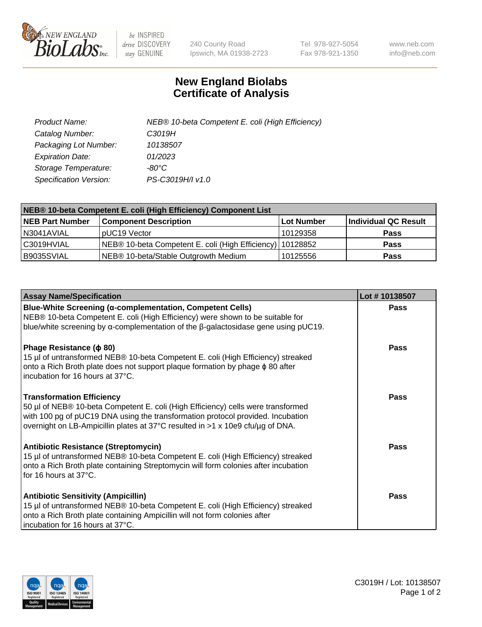

 $be$  INSPIRED drive DISCOVERY stay GENUINE

240 County Road Ipswich, MA 01938-2723 Tel 978-927-5054 Fax 978-921-1350 www.neb.com info@neb.com

## **New England Biolabs Certificate of Analysis**

| Product Name:           | NEB® 10-beta Competent E. coli (High Efficiency) |
|-------------------------|--------------------------------------------------|
| Catalog Number:         | C3019H                                           |
| Packaging Lot Number:   | 10138507                                         |
| <b>Expiration Date:</b> | 01/2023                                          |
| Storage Temperature:    | -80°C                                            |
| Specification Version:  | PS-C3019H/I v1.0                                 |

| NEB® 10-beta Competent E. coli (High Efficiency) Component List |                                                           |            |                      |  |
|-----------------------------------------------------------------|-----------------------------------------------------------|------------|----------------------|--|
| <b>NEB Part Number</b>                                          | <b>Component Description</b>                              | Lot Number | Individual QC Result |  |
| I N3041AVIAL                                                    | pUC19 Vector                                              | 10129358   | <b>Pass</b>          |  |
| C3019HVIAL                                                      | NEB® 10-beta Competent E. coli (High Efficiency) 10128852 |            | <b>Pass</b>          |  |
| B9035SVIAL                                                      | NEB® 10-beta/Stable Outgrowth Medium                      | 10125556   | <b>Pass</b>          |  |

| <b>Assay Name/Specification</b>                                                                                                                                                                                                                                                           | Lot #10138507 |
|-------------------------------------------------------------------------------------------------------------------------------------------------------------------------------------------------------------------------------------------------------------------------------------------|---------------|
| Blue-White Screening (α-complementation, Competent Cells)<br>NEB® 10-beta Competent E. coli (High Efficiency) were shown to be suitable for<br>blue/white screening by $\alpha$ -complementation of the $\beta$ -galactosidase gene using pUC19.                                          | Pass          |
| Phage Resistance ( $\phi$ 80)<br>15 µl of untransformed NEB® 10-beta Competent E. coli (High Efficiency) streaked<br>onto a Rich Broth plate does not support plaque formation by phage $\phi$ 80 after<br>incubation for 16 hours at 37°C.                                               | <b>Pass</b>   |
| <b>Transformation Efficiency</b><br>50 µl of NEB® 10-beta Competent E. coli (High Efficiency) cells were transformed<br>with 100 pg of pUC19 DNA using the transformation protocol provided. Incubation<br>overnight on LB-Ampicillin plates at 37°C resulted in >1 x 10e9 cfu/µg of DNA. | Pass          |
| <b>Antibiotic Resistance (Streptomycin)</b><br>15 µl of untransformed NEB® 10-beta Competent E. coli (High Efficiency) streaked<br>onto a Rich Broth plate containing Streptomycin will form colonies after incubation<br>for 16 hours at 37°C.                                           | Pass          |
| <b>Antibiotic Sensitivity (Ampicillin)</b><br>15 µl of untransformed NEB® 10-beta Competent E. coli (High Efficiency) streaked<br>onto a Rich Broth plate containing Ampicillin will not form colonies after<br>incubation for 16 hours at 37°C.                                          | Pass          |